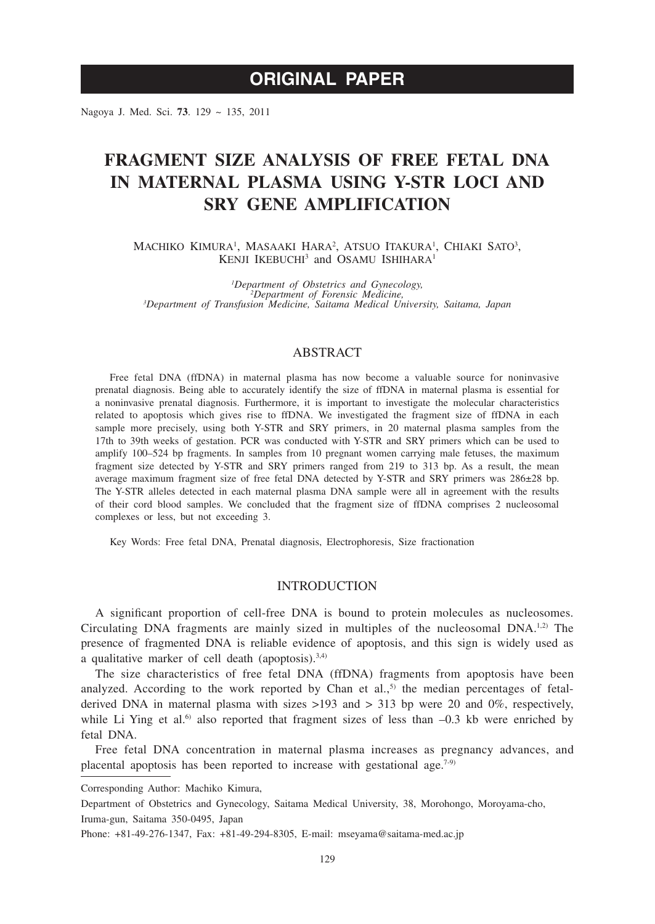# **ORIGINAL PAPER**

Nagoya J. Med. Sci. **73**. 129 ~ 135, 2011

# **FRAGMENT SIZE ANALYSIS OF FREE FETAL DNA IN MATERNAL PLASMA USING Y-STR LOCI AND SRY GENE AMPLIFICATION**

MACHIKO KIMURA<sup>1</sup>, MASAAKI HARA<sup>2</sup>, ATSUO ITAKURA<sup>1</sup>, CHIAKI SATO<sup>3</sup>, KENJI IKEBUCHI<sup>3</sup> and OSAMU ISHIHARA<sup>1</sup>

<sup>*I*</sup>Department of Obstetrics and Gynecology,<br><sup>2</sup>Department of Forensic Medicine *Department of Forensic Medicine, 3 Department of Transfusion Medicine, Saitama Medical University, Saitama, Japan*

# ABSTRACT

Free fetal DNA (ffDNA) in maternal plasma has now become a valuable source for noninvasive prenatal diagnosis. Being able to accurately identify the size of ffDNA in maternal plasma is essential for a noninvasive prenatal diagnosis. Furthermore, it is important to investigate the molecular characteristics related to apoptosis which gives rise to ffDNA. We investigated the fragment size of ffDNA in each sample more precisely, using both Y-STR and SRY primers, in 20 maternal plasma samples from the 17th to 39th weeks of gestation. PCR was conducted with Y-STR and SRY primers which can be used to amplify 100–524 bp fragments. In samples from 10 pregnant women carrying male fetuses, the maximum fragment size detected by Y-STR and SRY primers ranged from 219 to 313 bp. As a result, the mean average maximum fragment size of free fetal DNA detected by Y-STR and SRY primers was 286±28 bp. The Y-STR alleles detected in each maternal plasma DNA sample were all in agreement with the results of their cord blood samples. We concluded that the fragment size of ffDNA comprises 2 nucleosomal complexes or less, but not exceeding 3.

Key Words: Free fetal DNA, Prenatal diagnosis, Electrophoresis, Size fractionation

# **INTRODUCTION**

A significant proportion of cell-free DNA is bound to protein molecules as nucleosomes. Circulating DNA fragments are mainly sized in multiples of the nucleosomal  $DNA<sup>1,2</sup>$ . The presence of fragmented DNA is reliable evidence of apoptosis, and this sign is widely used as a qualitative marker of cell death (apoptosis). $3,4$ )

The size characteristics of free fetal DNA (ffDNA) fragments from apoptosis have been analyzed. According to the work reported by Chan et al., $5$  the median percentages of fetalderived DNA in maternal plasma with sizes  $>193$  and  $> 313$  bp were 20 and 0%, respectively, while Li Ying et al.<sup>6)</sup> also reported that fragment sizes of less than  $-0.3$  kb were enriched by fetal DNA.

Free fetal DNA concentration in maternal plasma increases as pregnancy advances, and placental apoptosis has been reported to increase with gestational age.<sup>7-9)</sup>

Corresponding Author: Machiko Kimura,

Department of Obstetrics and Gynecology, Saitama Medical University, 38, Morohongo, Moroyama-cho, Iruma-gun, Saitama 350-0495, Japan

Phone: +81-49-276-1347, Fax: +81-49-294-8305, E-mail: mseyama@saitama-med.ac.jp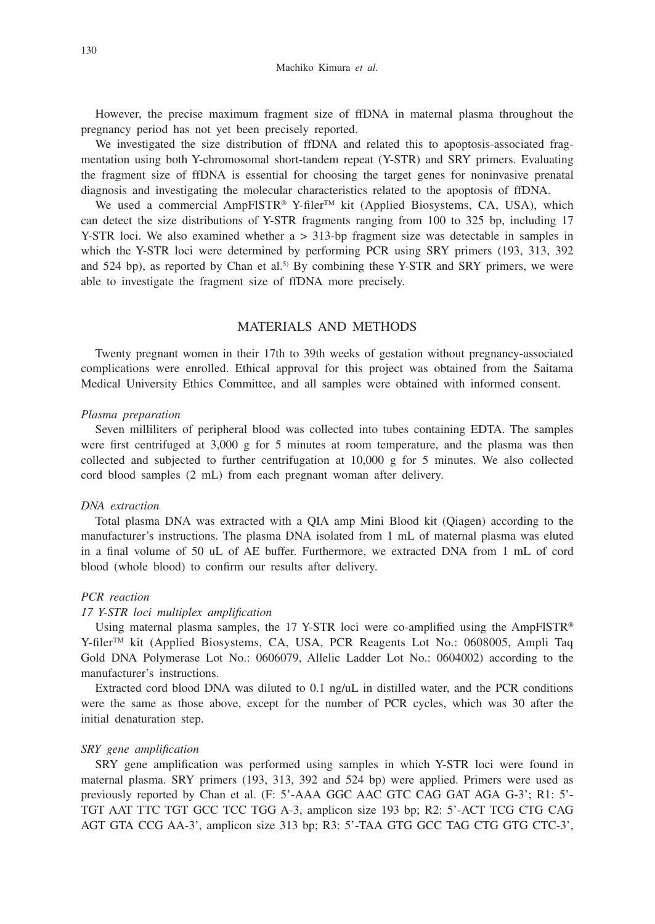However, the precise maximum fragment size of ffDNA in maternal plasma throughout the pregnancy period has not yet been precisely reported.

We investigated the size distribution of ffDNA and related this to apoptosis-associated fragmentation using both Y-chromosomal short-tandem repeat (Y-STR) and SRY primers. Evaluating the fragment size of ffDNA is essential for choosing the target genes for noninvasive prenatal diagnosis and investigating the molecular characteristics related to the apoptosis of ffDNA.

We used a commercial AmpFlSTR® Y-filer<sup>™</sup> kit (Applied Biosystems, CA, USA), which can detect the size distributions of Y-STR fragments ranging from 100 to 325 bp, including 17 Y-STR loci. We also examined whether a > 313-bp fragment size was detectable in samples in which the Y-STR loci were determined by performing PCR using SRY primers (193, 313, 392 and 524 bp), as reported by Chan et al.<sup>5)</sup> By combining these Y-STR and SRY primers, we were able to investigate the fragment size of ffDNA more precisely.

## MATERIALS AND METHODS

Twenty pregnant women in their 17th to 39th weeks of gestation without pregnancy-associated complications were enrolled. Ethical approval for this project was obtained from the Saitama Medical University Ethics Committee, and all samples were obtained with informed consent.

#### *Plasma preparation*

Seven milliliters of peripheral blood was collected into tubes containing EDTA. The samples were first centrifuged at 3,000 g for 5 minutes at room temperature, and the plasma was then collected and subjected to further centrifugation at 10,000 g for 5 minutes. We also collected cord blood samples (2 mL) from each pregnant woman after delivery.

#### *DNA extraction*

Total plasma DNA was extracted with a QIA amp Mini Blood kit (Qiagen) according to the manufacturer's instructions. The plasma DNA isolated from 1 mL of maternal plasma was eluted in a final volume of 50 uL of AE buffer. Furthermore, we extracted DNA from 1 mL of cord blood (whole blood) to confirm our results after delivery.

## *PCR reaction*

#### *17 Y-STR loci multiplex amplification*

Using maternal plasma samples, the 17 Y-STR loci were co-amplified using the AmpFlSTR<sup>®</sup>  $Y$ -filer<sup>TM</sup> kit (Applied Biosystems, CA, USA, PCR Reagents Lot No.: 0608005, Ampli Taq Gold DNA Polymerase Lot No.: 0606079, Allelic Ladder Lot No.: 0604002) according to the manufacturer's instructions.

Extracted cord blood DNA was diluted to 0.1 ng/uL in distilled water, and the PCR conditions were the same as those above, except for the number of PCR cycles, which was 30 after the initial denaturation step.

#### *SRY gene amplification*

SRY gene amplification was performed using samples in which Y-STR loci were found in maternal plasma. SRY primers (193, 313, 392 and 524 bp) were applied. Primers were used as previously reported by Chan et al. (F: 5'-AAA GGC AAC GTC CAG GAT AGA G-3'; R1: 5'- TGT AAT TTC TGT GCC TCC TGG A-3, amplicon size 193 bp; R2: 5'-ACT TCG CTG CAG AGT GTA CCG AA-3', amplicon size 313 bp; R3: 5'-TAA GTG GCC TAG CTG GTG CTC-3',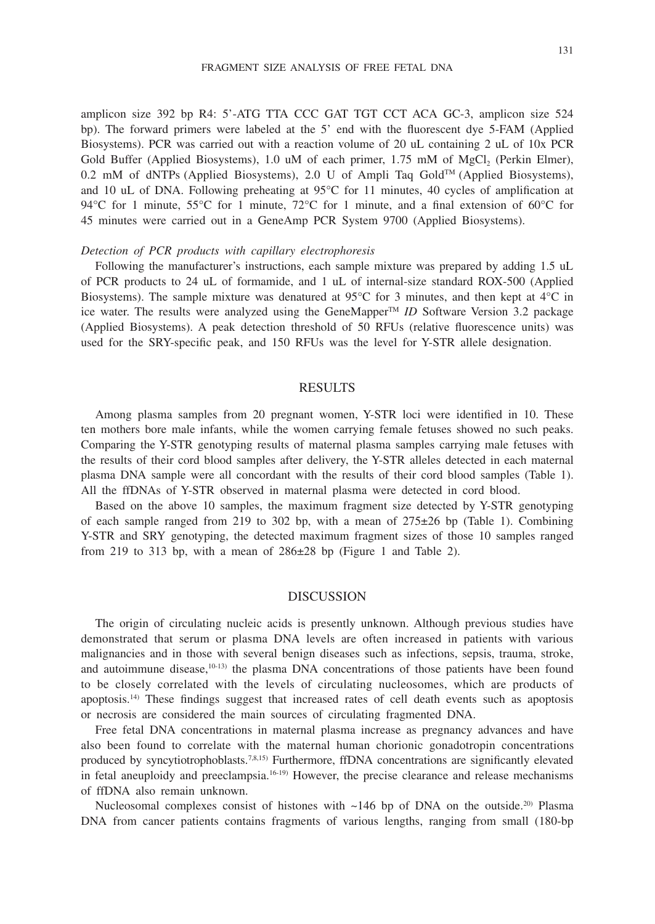amplicon size 392 bp R4: 5'-ATG TTA CCC GAT TGT CCT ACA GC-3, amplicon size 524 bp). The forward primers were labeled at the 5' end with the fluorescent dye 5-FAM (Applied Biosystems). PCR was carried out with a reaction volume of 20 uL containing 2 uL of 10x PCR Gold Buffer (Applied Biosystems),  $1.0$  uM of each primer,  $1.75$  mM of MgCl<sub>2</sub> (Perkin Elmer), 0.2 mM of dNTPs (Applied Biosystems), 2.0 U of Ampli Taq Gold<sup>TM</sup> (Applied Biosystems), and 10 uL of DNA. Following preheating at 95°C for 11 minutes, 40 cycles of amplification at 94°C for 1 minute, 55°C for 1 minute, 72°C for 1 minute, and a final extension of 60°C for 45 minutes were carried out in a GeneAmp PCR System 9700 (Applied Biosystems).

#### *Detection of PCR products with capillary electrophoresis*

Following the manufacturer's instructions, each sample mixture was prepared by adding 1.5 uL of PCR products to 24 uL of formamide, and 1 uL of internal-size standard ROX-500 (Applied Biosystems). The sample mixture was denatured at 95°C for 3 minutes, and then kept at 4°C in ice water. The results were analyzed using the GeneMapperTM *ID* Software Version 3.2 package (Applied Biosystems). A peak detection threshold of 50 RFUs (relative fluorescence units) was used for the SRY-specific peak, and 150 RFUs was the level for Y-STR allele designation.

## RESULTS

Among plasma samples from 20 pregnant women, Y-STR loci were identified in 10. These ten mothers bore male infants, while the women carrying female fetuses showed no such peaks. Comparing the Y-STR genotyping results of maternal plasma samples carrying male fetuses with the results of their cord blood samples after delivery, the Y-STR alleles detected in each maternal plasma DNA sample were all concordant with the results of their cord blood samples (Table 1). All the ffDNAs of Y-STR observed in maternal plasma were detected in cord blood.

Based on the above 10 samples, the maximum fragment size detected by Y-STR genotyping of each sample ranged from 219 to 302 bp, with a mean of  $275\pm26$  bp (Table 1). Combining Y-STR and SRY genotyping, the detected maximum fragment sizes of those 10 samples ranged from 219 to 313 bp, with a mean of  $286\pm28$  bp (Figure 1 and Table 2).

### DISCUSSION

The origin of circulating nucleic acids is presently unknown. Although previous studies have demonstrated that serum or plasma DNA levels are often increased in patients with various malignancies and in those with several benign diseases such as infections, sepsis, trauma, stroke, and autoimmune disease,<sup>10-13)</sup> the plasma DNA concentrations of those patients have been found to be closely correlated with the levels of circulating nucleosomes, which are products of apoptosis.14) These findings suggest that increased rates of cell death events such as apoptosis or necrosis are considered the main sources of circulating fragmented DNA.

Free fetal DNA concentrations in maternal plasma increase as pregnancy advances and have also been found to correlate with the maternal human chorionic gonadotropin concentrations produced by syncytiotrophoblasts.7,8,15) Furthermore, ffDNA concentrations are significantly elevated in fetal aneuploidy and preeclampsia.16-19) However, the precise clearance and release mechanisms of ffDNA also remain unknown.

Nucleosomal complexes consist of histones with  $\sim$ 146 bp of DNA on the outside.<sup>20)</sup> Plasma DNA from cancer patients contains fragments of various lengths, ranging from small (180-bp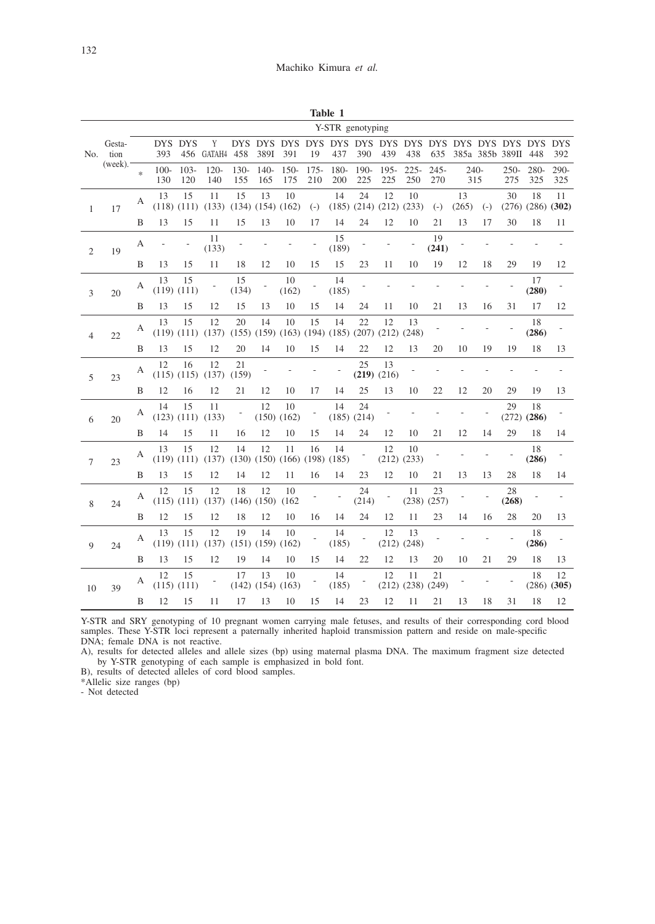|                  |                               |        |                |                       |                               |               |                               |                                               |                | Table 1                                                               |                |                       |                               |                |               |       |                     |                               |                       |
|------------------|-------------------------------|--------|----------------|-----------------------|-------------------------------|---------------|-------------------------------|-----------------------------------------------|----------------|-----------------------------------------------------------------------|----------------|-----------------------|-------------------------------|----------------|---------------|-------|---------------------|-------------------------------|-----------------------|
| Y-STR genotyping |                               |        |                |                       |                               |               |                               |                                               |                |                                                                       |                |                       |                               |                |               |       |                     |                               |                       |
| No.              | Gesta-<br>tion<br>$(week).^-$ |        | DYS.<br>393    | <b>DYS</b>            | Y<br>456 GATAH4 458           |               | 389I                          | 391                                           | 19             | 437                                                                   | 390            | 439                   | 438                           | 635            |               |       | 385a 385b 389II 448 |                               | 392                   |
|                  |                               | $\ast$ | $100 -$<br>130 | $103 -$<br>120        | $120 -$<br>140                | $130-$<br>155 | $140-$<br>165                 | $150-$<br>175                                 | $175 -$<br>210 | 180-<br>200                                                           | $190 -$<br>225 | $195 -$<br>225        | $225 -$<br>250                | $245 -$<br>270 | $240-$<br>315 |       | 275                 | 250-280-<br>325               | 290-<br>325           |
| 1                | 17                            | А      | 13             | 15<br>$(118)$ $(111)$ | 11<br>(133)                   | 15            | 13<br>$(134)$ $(154)$ $(162)$ | 10                                            | $(-)$          | 14<br>$(185)$ $(214)$ $(212)$ $(233)$                                 | 24             | 12                    | 10                            | $(-)$          | 13<br>(265)   | $(-)$ | 30                  | 18<br>$(276)$ $(286)$ $(302)$ | 11                    |
|                  |                               | B      | 13             | 15                    | 11                            | 15            | 13                            | 10                                            | 17             | 14                                                                    | 24             | 12                    | 10                            | 21             | 13            | 17    | 30                  | 18                            | 11                    |
| 2                | 19                            | А      |                |                       | 11<br>(133)                   |               |                               |                                               |                | 15<br>(189)                                                           |                |                       |                               | 19<br>(241)    |               |       |                     |                               |                       |
|                  |                               | B      | 13             | 15                    | 11                            | 18            | 12                            | 10                                            | 15             | 15                                                                    | 23             | 11                    | 10                            | 19             | 12            | 18    | 29                  | 19                            | 12                    |
| 3                | 20                            | А      | 13             | 15<br>$(119)$ $(111)$ | Ť,                            | 15<br>(134)   |                               | 10<br>(162)                                   |                | 14<br>(185)                                                           |                |                       |                               |                |               |       |                     | 17<br>(280)                   |                       |
|                  |                               | B      | 13             | 15                    | 12                            | 15            | 13                            | 10                                            | 15             | 14                                                                    | 24             | 11                    | 10                            | 21             | 13            | 16    | 31                  | 17                            | 12                    |
| 4                | 22                            | А      | 13             | 15<br>$(119)$ $(111)$ | 12<br>(137)                   | 20            | 14                            | 10                                            | 15             | 14<br>$(155)$ $(159)$ $(163)$ $(194)$ $(185)$ $(207)$ $(212)$ $(248)$ | 22             | 12                    | 13                            |                |               |       |                     | 18<br>(286)                   |                       |
|                  |                               | B      | 13             | 15                    | 12                            | 20            | 14                            | 10                                            | 15             | 14                                                                    | 22             | 12                    | 13                            | 20             | 10            | 19    | 19                  | 18                            | 13                    |
| 5                | 23                            | А      | 12             | 16<br>$(115)$ $(115)$ | 12<br>(137)                   | 21<br>(159)   |                               |                                               |                |                                                                       | 25             | 13<br>$(219)$ $(216)$ |                               |                |               |       |                     |                               |                       |
|                  |                               | B      | 12             | 16                    | 12                            | 21            | 12                            | 10                                            | 17             | 14                                                                    | 25             | 13                    | 10                            | 22             | 12            | 20    | 29                  | 19                            | 13                    |
| 6                | 20                            | А      | 14             | 15<br>$(123)$ $(111)$ | 11<br>(133)                   | Ť,            | 12                            | 10<br>$(150)$ $(162)$                         |                | 14<br>$(185)$ $(214)$                                                 | 24             |                       |                               |                |               |       | 29                  | 18<br>$(272)$ $(286)$         |                       |
|                  |                               | B      | 14             | 15                    | 11                            | 16            | 12                            | 10                                            | 15             | 14                                                                    | 24             | 12                    | 10                            | 21             | 12            | 14    | 29                  | 18                            | 14                    |
| 7                | 23                            | A      | 13             | 15                    | 12<br>$(119)$ $(111)$ $(137)$ | 14            | 12                            | 11<br>$(130)$ $(150)$ $(166)$ $(198)$ $(185)$ | 16             | 14                                                                    |                | 12<br>$(212)$ $(233)$ | 10                            |                |               |       |                     | 18<br>(286)                   |                       |
|                  |                               | B      | 13             | 15                    | 12                            | 14            | 12                            | 11                                            | 16             | 14                                                                    | 23             | 12                    | 10                            | 21             | 13            | 13    | 28                  | 18                            | 14                    |
| 8                | 24                            | А      | 12             | 15<br>$(115)$ $(111)$ | 12<br>(137)                   | 18            | 12<br>$(146)$ $(150)$         | 10<br>(162)                                   |                |                                                                       | 24<br>(214)    |                       | 11<br>$(238)$ $(257)$         | 23             |               |       | 28<br>(268)         |                               |                       |
|                  |                               | B      | 12             | 15                    | 12                            | 18            | 12                            | 10                                            | 16             | 14                                                                    | 24             | 12                    | 11                            | 23             | 14            | 16    | 28                  | 20                            | 13                    |
| 9                | 24                            | А      | 13             | 15<br>$(119)$ $(111)$ | 12<br>(137)                   | 19            | 14<br>$(151)$ $(159)$ $(162)$ | 10                                            |                | 14<br>(185)                                                           |                | 12                    | 13<br>(212) (248)             |                |               |       |                     | 18<br>(286)                   |                       |
|                  |                               | B      | 13             | 15                    | 12                            | 19            | 14                            | 10                                            | 15             | 14                                                                    | 22             | 12                    | 13                            | 20             | 10            | 21    | 29                  | 18                            | 13                    |
| 10               | 39                            | А      | 12             | 15<br>$(115)$ $(111)$ |                               | 17            | 13<br>$(142)$ $(154)$ $(163)$ | 10                                            |                | 14<br>(185)                                                           |                | 12                    | 11<br>$(212)$ $(238)$ $(249)$ | 21             |               |       |                     | 18                            | 12<br>$(286)$ $(305)$ |
|                  |                               | B      | 12             | 15                    | 11                            | 17            | 13                            | 10                                            | 15             | 14                                                                    | 23             | 12                    | 11                            | 21             | 13            | 18    | 31                  | 18                            | 12                    |

Y-STR and SRY genotyping of 10 pregnant women carrying male fetuses, and results of their corresponding cord blood samples. These Y-STR loci represent a paternally inherited haploid transmission pattern and reside on male-specific DNA; female DNA is not reactive.

A), results for detected alleles and allele sizes (bp) using maternal plasma DNA. The maximum fragment size detected by Y-STR genotyping of each sample is emphasized in bold font.

B), results of detected alleles of cord blood samples.

\*Allelic size ranges (bp)

- Not detected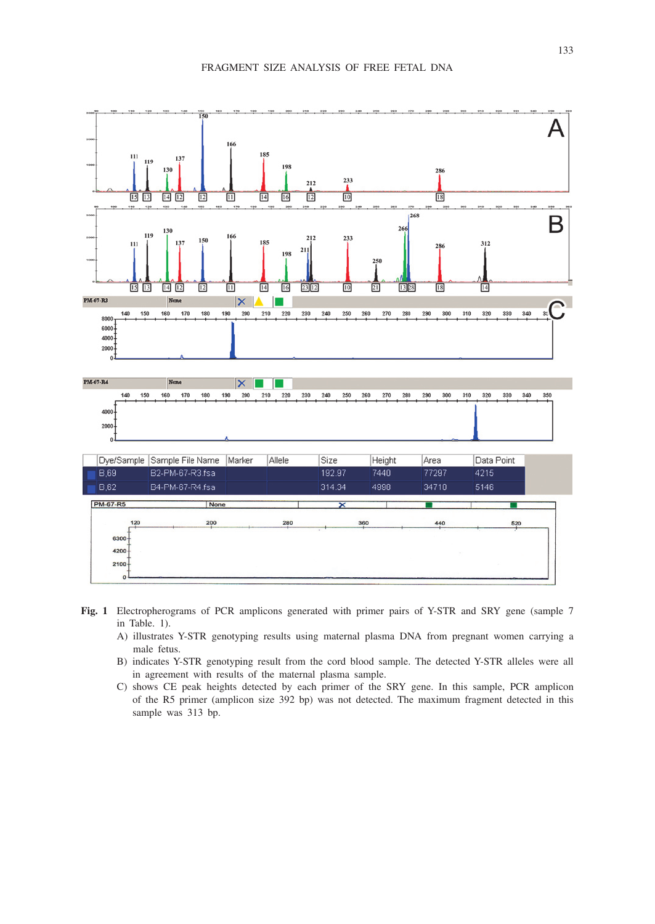

- **Fig. 1** Electropherograms of PCR amplicons generated with primer pairs of Y-STR and SRY gene (sample 7 in Table. 1).
	- A) illustrates Y-STR genotyping results using maternal plasma DNA from pregnant women carrying a male fetus.
	- B) indicates Y-STR genotyping result from the cord blood sample. The detected Y-STR alleles were all in agreement with results of the maternal plasma sample.
	- C) shows CE peak heights detected by each primer of the SRY gene. In this sample, PCR amplicon of the R5 primer (amplicon size 392 bp) was not detected. The maximum fragment detected in this sample was 313 bp.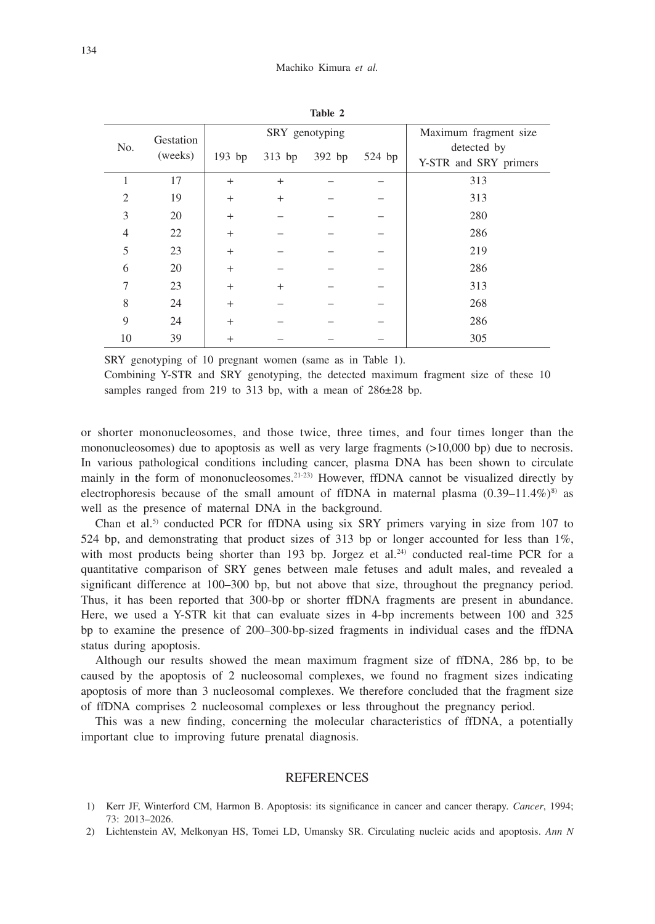| $\mathbf{a}$ we $\mathbf{a}$ |                      |        |          |                |                       |                       |  |  |  |  |
|------------------------------|----------------------|--------|----------|----------------|-----------------------|-----------------------|--|--|--|--|
|                              | Gestation<br>(weeks) |        |          | SRY genotyping | Maximum fragment size |                       |  |  |  |  |
| No.                          |                      | 193 bp | $313$ bp | 392 bp         | $524$ bp              | detected by           |  |  |  |  |
|                              |                      |        |          |                |                       | Y-STR and SRY primers |  |  |  |  |
| 1                            | 17                   | $+$    | $+$      |                |                       | 313                   |  |  |  |  |
| $\overline{c}$               | 19                   | $+$    | $+$      |                |                       | 313                   |  |  |  |  |
| 3                            | 20                   | $+$    |          |                |                       | 280                   |  |  |  |  |
| 4                            | 22                   | $+$    |          |                |                       | 286                   |  |  |  |  |
| 5                            | 23                   | $+$    |          |                |                       | 219                   |  |  |  |  |
| 6                            | 20                   | $+$    |          |                |                       | 286                   |  |  |  |  |
| 7                            | 23                   | $+$    | $^{+}$   |                |                       | 313                   |  |  |  |  |
| 8                            | 24                   | $+$    |          |                |                       | 268                   |  |  |  |  |
| 9                            | 24                   | $+$    |          |                |                       | 286                   |  |  |  |  |
| 10                           | 39                   | $+$    |          |                |                       | 305                   |  |  |  |  |

**Table 2**

SRY genotyping of 10 pregnant women (same as in Table 1).

Combining Y-STR and SRY genotyping, the detected maximum fragment size of these 10 samples ranged from 219 to 313 bp, with a mean of  $286\pm28$  bp.

or shorter mononucleosomes, and those twice, three times, and four times longer than the mononucleosomes) due to apoptosis as well as very large fragments (>10,000 bp) due to necrosis. In various pathological conditions including cancer, plasma DNA has been shown to circulate mainly in the form of mononucleosomes.<sup>21-23)</sup> However, ffDNA cannot be visualized directly by electrophoresis because of the small amount of ffDNA in maternal plasma  $(0.39-11.4\%)^8$  as well as the presence of maternal DNA in the background.

Chan et al.<sup>5)</sup> conducted PCR for ffDNA using six SRY primers varying in size from 107 to 524 bp, and demonstrating that product sizes of 313 bp or longer accounted for less than 1%, with most products being shorter than 193 bp. Jorgez et al.<sup>24</sup> conducted real-time PCR for a quantitative comparison of SRY genes between male fetuses and adult males, and revealed a significant difference at 100–300 bp, but not above that size, throughout the pregnancy period. Thus, it has been reported that 300-bp or shorter ffDNA fragments are present in abundance. Here, we used a Y-STR kit that can evaluate sizes in 4-bp increments between 100 and 325 bp to examine the presence of 200–300-bp-sized fragments in individual cases and the ffDNA status during apoptosis.

Although our results showed the mean maximum fragment size of ffDNA, 286 bp, to be caused by the apoptosis of 2 nucleosomal complexes, we found no fragment sizes indicating apoptosis of more than 3 nucleosomal complexes. We therefore concluded that the fragment size of ffDNA comprises 2 nucleosomal complexes or less throughout the pregnancy period.

This was a new finding, concerning the molecular characteristics of ffDNA, a potentially important clue to improving future prenatal diagnosis.

### REFERENCES

- 1) Kerr JF, Winterford CM, Harmon B. Apoptosis: its significance in cancer and cancer therapy. *Cancer*, 1994; 73: 2013–2026.
- 2) Lichtenstein AV, Melkonyan HS, Tomei LD, Umansky SR. Circulating nucleic acids and apoptosis. *Ann N*